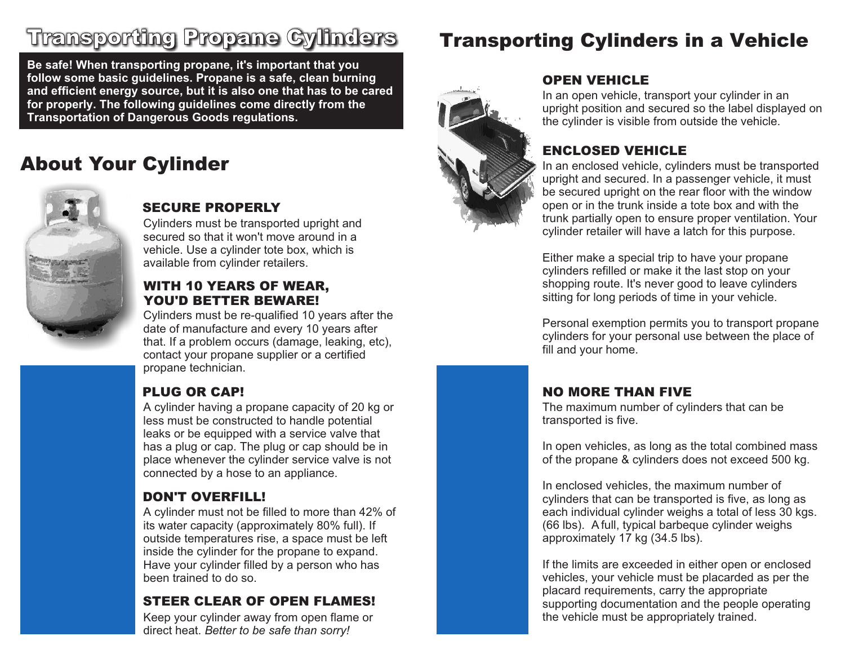## Transporting Propane Cylinders

**Be safe! When transporting propane, it's important that you follow some basic guidelines. Propane is a safe, clean burning and efficient energy source, but it is also one that has to be cared for properly. The following guidelines come directly from the Transportation of Dangerous Goods regulations.**

## About Your Cylinder



#### SECURE PROPERLY

Cylinders must be transported upright and secured so that it won't move around in a vehicle. Use a cylinder tote box, which is available from cylinder retailers.

#### WITH 10 YEARS OF WEAR, YOU'D BETTER BEWARE!

Cylinders must be re-qualified 10 years after the date of manufacture and every 10 years after that. If a problem occurs (damage, leaking, etc), contact your propane supplier or a certified propane technician.

#### PLUG OR CAP!

A cylinder having a propane capacity of 20 kg or less must be constructed to handle potential leaks or be equipped with a service valve that has a plug or cap. The plug or cap should be in place whenever the cylinder service valve is not connected by a hose to an appliance.

#### DON'T OVERFILL!

A cylinder must not be filled to more than 42% of its water capacity (approximately 80% full). If outside temperatures rise, a space must be left inside the cylinder for the propane to expand. Have your cylinder filled by a person who has been trained to do so.

#### STEER CLEAR OF OPEN FLAMES!

Keep your cylinder away from open flame or direct heat. *Better to be safe than sorry!*

## Transporting Cylinders in a Vehicle



#### OPEN VEHICLE

In an open vehicle, transport your cylinder in an upright position and secured so the label displayed on the cylinder is visible from outside the vehicle.

#### ENCLOSED VEHICLE

In an enclosed vehicle, cylinders must be transported upright and secured. In a passenger vehicle, it must be secured upright on the rear floor with the window open or in the trunk inside a tote box and with the trunk partially open to ensure proper ventilation. Your cylinder retailer will have a latch for this purpose.

Either make a special trip to have your propane cylinders refilled or make it the last stop on your shopping route. It's never good to leave cylinders sitting for long periods of time in your vehicle.

Personal exemption permits you to transport propane cylinders for your personal use between the place of fill and your home.

#### NO MORE THAN FIVE

The maximum number of cylinders that can be transported is five.

In open vehicles, as long as the total combined mass of the propane & cylinders does not exceed 500 kg.

In enclosed vehicles, the maximum number of cylinders that can be transported is five, as long as each individual cylinder weighs a total of less 30 kgs. (66 lbs). A full, typical barbeque cylinder weighs approximately 17 kg (34.5 lbs).

If the limits are exceeded in either open or enclosed vehicles, your vehicle must be placarded as per the placard requirements, carry the appropriate supporting documentation and the people operating the vehicle must be appropriately trained.